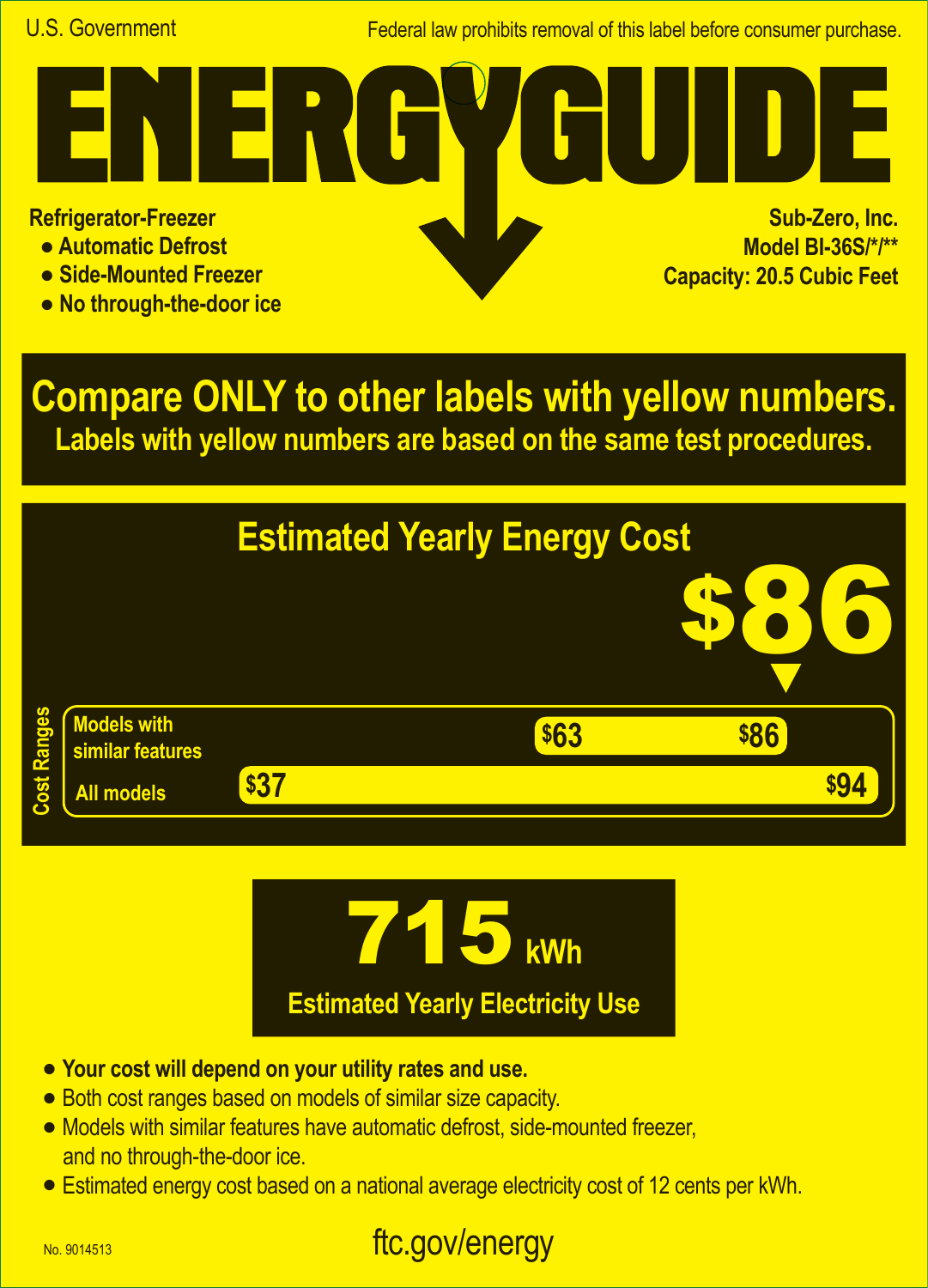Federal law prohibits removal of this label before consumer purchase.

**Refrigerator-Freezer**

- **Automatic Defrost**
- **Side-Mounted Freezer**
- **No through-the-door ice**

**Sub-Zero, Inc. Model BI-36S/\*/\*\* Capacity: 20.5 Cubic Feet A**

**Compare ONLY to other labels with yellow numbers. Labels with yellow numbers are based on the same test procedures.**





- **• Your cost will depend on your utility rates and use.**
- **•** Both cost ranges based on models of similar size capacity.
- **•** Models with similar features have automatic defrost, side-mounted freezer, and no through-the-door ice.
- **•** Estimated energy cost based on a national average electricity cost of 12 cents per kWh.

## ftc.gov/energy